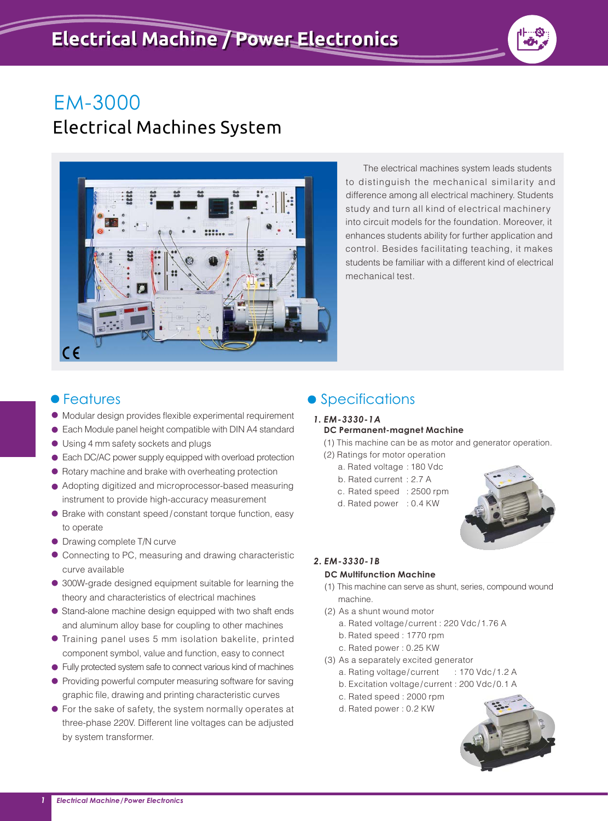

# Electrical Machines System



 The electrical machines system leads students to distinguish the mechanical similarity and difference among all electrical machinery. Students study and turn all kind of electrical machinery into circuit models for the foundation. Moreover, it enhances students ability for further application and control. Besides facilitating teaching, it makes students be familiar with a different kind of electrical mechanical test.

- Modular design provides flexible experimental requirement
- Each Module panel height compatible with DIN A4 standard
- Using 4 mm safety sockets and plugs
- Each DC/AC power supply equipped with overload protection
- Rotary machine and brake with overheating protection
- Adopting digitized and microprocessor-based measuring instrument to provide high-accuracy measurement
- Brake with constant speed / constant torque function, easy to operate
- Drawing complete T/N curve
- Connecting to PC, measuring and drawing characteristic curve available
- 300W-grade designed equipment suitable for learning the theory and characteristics of electrical machines
- Stand-alone machine design equipped with two shaft ends and aluminum alloy base for coupling to other machines
- Training panel uses 5 mm isolation bakelite, printed component symbol, value and function, easy to connect
- Fully protected system safe to connect various kind of machines
- Providing powerful computer measuring software for saving graphic file, drawing and printing characteristic curves
- For the sake of safety, the system normally operates at three-phase 220V. Different line voltages can be adjusted by system transformer.

# • Features extending the Specifications

#### *1. EM-3330-1A* **DC Permanent-magnet Machine**

(1) This machine can be as motor and generator operation.

- (2) Ratings for motor operation
	- a. Rated voltage : 180 Vdc
	- b. Rated current : 2.7 A
	- c. Rated speed : 2500 rpm
	- d. Rated power : 0.4 KW



# *2. EM-3330-1B*

#### **DC Multifunction Machine**

- (1) This machine can serve as shunt, series, compound wound machine.
- (2) As a shunt wound motor
	- a. Rated voltage/current : 220 Vdc/1.76 A
	- b. Rated speed : 1770 rpm
	- c. Rated power : 0.25 KW
- (3) As a separately excited generator
	- a. Rating voltage/current : 170 Vdc/1.2 A
	- b. Excitation voltage/current : 200 Vdc/0.1 A
	- c. Rated speed : 2000 rpm
	- d. Rated power : 0.2 KW

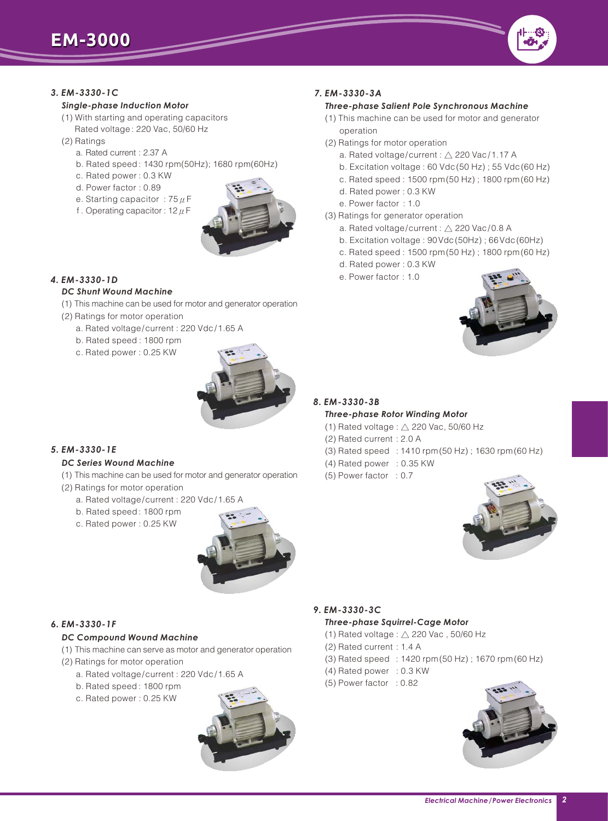

#### *3. EM-3330-1C*

#### *Single-phase Induction Motor*

- (1) With starting and operating capacitors Rated voltage : 220 Vac, 50/60 Hz
- (2) Ratings
	- a. Rated current : 2.37 A
	- b. Rated speed : 1430 rpm(50Hz); 1680 rpm(60Hz)
	- c. Rated power : 0.3 KW
	- d. Power factor : 0.89
	- e. Starting capacitor : 75  $\mu$  F
	- f. Operating capacitor:  $12 \mu F$



### *4. EM-3330-1D*

#### *DC Shunt Wound Machine*

- (1) This machine can be used for motor and generator operation
- (2) Ratings for motor operation
	- a. Rated voltage/current : 220 Vdc/1.65 A
	- b. Rated speed : 1800 rpm
	- c. Rated power : 0.25 KW



#### *5. EM-3330-1E*

#### *DC Series Wound Machine*

- (1) This machine can be used for motor and generator operation
- (2) Ratings for motor operation
	- a. Rated voltage/current : 220 Vdc/1.65 A
	- b. Rated speed : 1800 rpm
	- c. Rated power : 0.25 KW



#### *6. EM-3330-1F*

#### *DC Compound Wound Machine*

- (1) This machine can serve as motor and generator operation
- (2) Ratings for motor operation
	- a. Rated voltage/current : 220 Vdc/1.65 A
	- b. Rated speed : 1800 rpm
	- c. Rated power : 0.25 KW



## *7. EM-3330-3A*

#### *Three-phase Salient Pole Synchronous Machine*

- (1) This machine can be used for motor and generator operation
- (2) Ratings for motor operation
	- a. Rated voltage/current : △ 220 Vac/1.17 A
	- b. Excitation voltage : 60 Vdc(50 Hz) ; 55 Vdc(60 Hz)
	- c. Rated speed : 1500 rpm(50 Hz) ; 1800 rpm(60 Hz)
	- d. Rated power : 0.3 KW
	- e. Power factor : 1.0
- (3) Ratings for generator operation
	- a. Rated voltage/current :  $\triangle$  220 Vac/0.8 A
	- b. Excitation voltage : 90Vdc(50Hz) ; 66Vdc(60Hz)
	- c. Rated speed : 1500 rpm(50 Hz) ; 1800 rpm(60 Hz)
	- d. Rated power : 0.3 KW
	- e. Power factor : 1.0



#### *8. EM-3330-3B*

#### *Three-phase Rotor Winding Motor*

- (1) Rated voltage :  $\wedge$  220 Vac, 50/60 Hz
- (2) Rated current : 2.0 A
- (3) Rated speed : ; 1410 rpm(50 Hz) 1630 rpm(60 Hz)
- (4) Rated power : 0.35 KW
- (5) Power factor : 0.7



#### *9. EM-3330-3C*

#### *Three-phase Squirrel-Cage Motor*

- (1) Rated voltage :  $\triangle$  220 Vac, 50/60 Hz
- (2) Rated current : 1.4 A
- (3) Rated speed : ; 1420 rpm(50 Hz) 1670 rpm(60 Hz)
- (4) Rated power : 0.3 KW
- (5) Power factor : 0.82

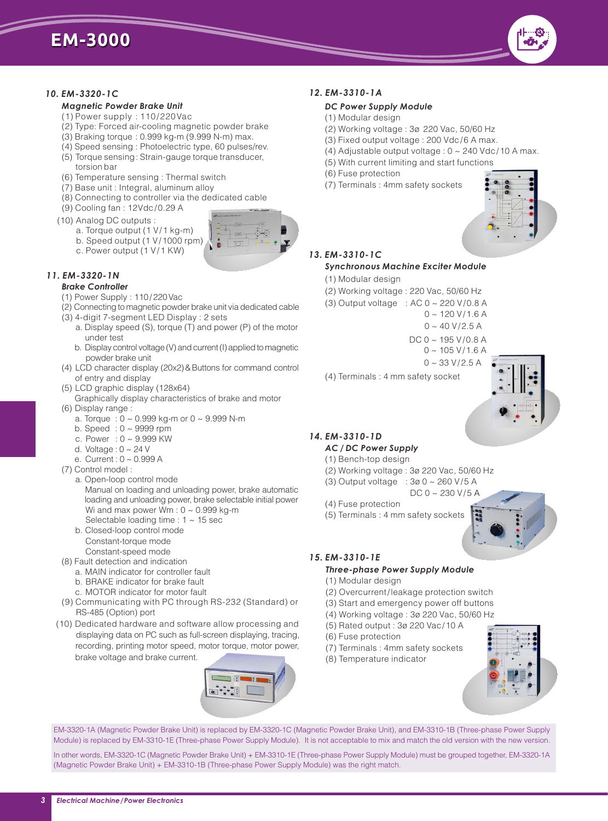#### *10. EM-3320-1C*

# *Magnetic Powder Brake Unit*

- (1) Power supply : 110/220Vac
- (2) Type: Forced air-cooling magnetic powder brake
- (3) Braking torque : 0.999 kg-m (9.999 N-m) max.
- (4) Speed sensing : Photoelectric type, 60 pulses/rev. (5) Torque sensing: Strain-gauge torque transducer,
- torsion bar
- (6) Temperature sensing : Thermal switch
- (7) Base unit : Integral, aluminum alloy
- (8) Connecting to controller via the dedicated cable
- (9) Cooling fan : 12Vdc/0.29 A
- (10) Analog DC outputs :
	- a. Torque output (1 V/1 kg-m)
	- b. Speed output (1 V/1000 rpm)
	- c. Power output (1 V/1 KW)

# *11. EM-3320-1N*

- *Brake Controller*
- (1) Power Supply : 110/220Vac
- (2) Connecting to magnetic powder brake unit via dedicated cable
- (3) 4-digit 7-segment LED Display : 2 sets
	- a. Display speed (S), torque (T) and power (P) of the motor under test
	- b. Display control voltage (V) and current (I) applied to magnetic powder brake unit
- (4) LCD character display (20x2)&Buttons for command control of entry and display
- (5) LCD graphic display (128x64)
- Graphically display characteristics of brake and motor (6) Display range :
	- a. Torque : 0 ~ 0.999 kg-m or 0 ~ 9.999 N-m
	- b. Speed : 0 ~ 9999 rpm
	- c. Power : 0 ~ 9.999 KW
	- d. Voltage:  $0 \sim 24$  V
	- e. Current : 0 ~ 0.999 A
- (7) Control model :
	- a. Open-loop control mode Manual on loading and unloading power, brake automatic loading and unloading power, brake selectable initial power Wi and max power Wm :  $0 \sim 0.999$  kg-m Selectable loading time : 1 ~ 15 sec
	- b. Closed-loop control mode Constant-torque mode
- Constant-speed mode (8) Fault detection and indication
- a. MAIN indicator for controller fault
	- b. BRAKE indicator for brake fault
	- c. MOTOR indicator for motor fault
- (9) Communicating with PC through RS-232 (Standard) or RS-485 (Option) port
- (10) Dedicated hardware and software allow processing and displaying data on PC such as full-screen displaying, tracing, recording, printing motor speed, motor torque, motor power, brake voltage and brake current.



#### *12. EM-3310-1A*

#### *DC Power Supply Module*

- (1) Modular design
- (2) Working voltage : 3ø 220 Vac, 50/60 Hz
- (3) Fixed output voltage : 200 Vdc/6 A max.
- (4) Adjustable output voltage :  $0 \sim 240$  Vdc/10 A max.
- (5) With current limiting and start functions
- (6) Fuse protection
- (7) Terminals : 4mm safety sockets



# *13. EM-3310-1C*

#### *Synchronous Machine Exciter Module*

- (1) Modular design
- (2) Working voltage : 220 Vac, 50/60 Hz
- (3) Output voltage : AC 0 ~ 220 V/0.8 A
	- $0 \sim 120 \text{ V} / 1.6 \text{ A}$
	- $0 \sim 40 V/2.5 A$
	- $DC 0 ~$  ~ 195 V/0.8 A
		- $0 \sim 105$  V/1.6 A
		- $0 \sim 33 \text{ V} / 2.5 \text{ A}$
- (4) Terminals : 4 mm safety socket

#### *14. EM-3310-1D*

#### *AC / DC Power Supply*

- (1) Bench-top design
- (2) Working voltage : 3ø 220 Vac, 50/60 Hz
- (3) Output voltage : 3ø 0 ~ 260 V/5 A DC 0 ~ 230 V/5 A
- (4) Fuse protection
- (5) Terminals : 4 mm safety sockets



#### *15. EM-3310-1E*

### *Three-phase Power Supply Module*

- (1) Modular design
- (2) Overcurrent/leakage protection switch
- (3) Start and emergency power off buttons
- (4) Working voltage : 3ø 220 Vac, 50/60 Hz
- (5) Rated output : 3ø 220 Vac/10 A
- (6) Fuse protection
- (7) Terminals : 4mm safety sockets
- (8) Temperature indicator



EM-3320-1A (Magnetic Powder Brake Unit) is replaced by EM-3320-1C (Magnetic Powder Brake Unit), and EM-3310-1B (Three-phase Power Supply Module) is replaced by EM-3310-1E (Three-phase Power Supply Module). It is not acceptable to mix and match the old version with the new version.

In other words, EM-3320-1C (Magnetic Powder Brake Unit) + EM-3310-1E (Three-phase Power Supply Module) must be grouped together, EM-3320-1A (Magnetic Powder Brake Unit) + EM-3310-1B (Three-phase Power Supply Module) was the right match.

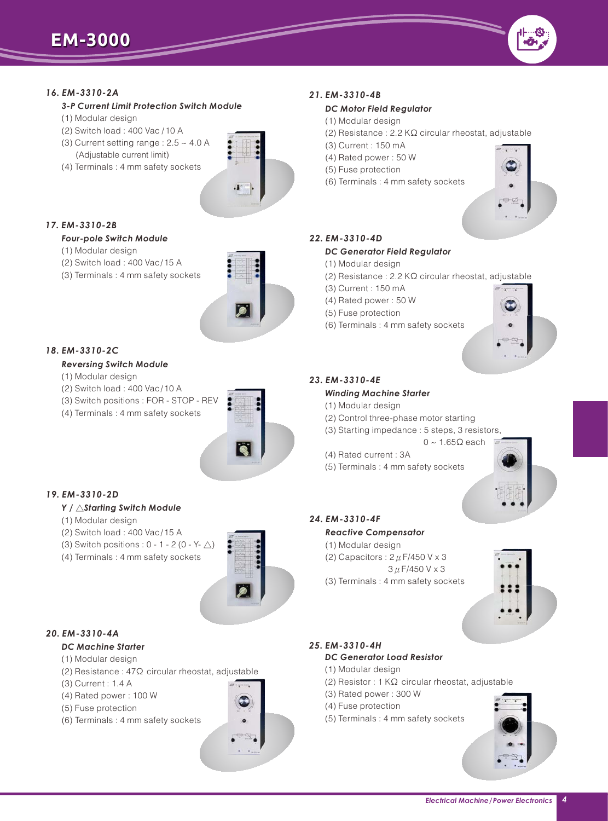### *16. EM-3310-2A*

*3-P Current Limit Protection Switch Module*

- (1) Modular design
- (2) Switch load : 400 Vac /10 A
- (3) Current setting range :  $2.5 \sim 4.0$  A (Adjustable current limit)
- (4) Terminals : 4 mm safety sockets



 $\overline{\phantom{a}}$ 

#### *17. EM-3310-2B*

#### *Four-pole Switch Module*

- (1) Modular design
- (2) Switch load : 400 Vac/15 A
- (3) Terminals : 4 mm safety sockets



#### *18. EM-3310-2C*

#### *Reversing Switch Module*

- (1) Modular design
- (2) Switch load : 400 Vac/10 A
- (3) Switch positions : FOR STOP REV
- (4) Terminals : 4 mm safety sockets



# *19. EM-3310-2D*

#### *Y /* △*Starting Switch Module*

- (1) Modular design
- (2) Switch load : 400 Vac/15 A
- (3) Switch positions :  $0 1 2 (0 Y \wedge)$
- (4) Terminals : 4 mm safety sockets



# *20. EM-3310-4A*

# *DC Machine Starter*

- (1) Modular design
- (2) Resistance : 47Ω circular rheostat, adjustable
- (3) Current : 1.4 A
- (4) Rated power : 100 W
- (5) Fuse protection
- (6) Terminals : 4 mm safety sockets

# *21. EM-3310-4B*

#### *DC Motor Field Regulator*

- (1) Modular design
- (2) Resistance : 2.2 KΩ circular rheostat, adjustable
- (3) Current : 150 mA
- (4) Rated power : 50 W
- (5) Fuse protection
- (6) Terminals : 4 mm safety sockets



# *22. EM-3310-4D*

#### *DC Generator Field Regulator*

- (1) Modular design
- (2) Resistance : 2.2 KΩ circular rheostat, adjustable
- (3) Current : 150 mA
- (4) Rated power : 50 W
- (5) Fuse protection
- (6) Terminals : 4 mm safety sockets



#### *23. EM-3310-4E*

#### *Winding Machine Starter*

- (1) Modular design
- (2) Control three-phase motor starting
- (3) Starting impedance : 5 steps, 3 resistors,
- $0 \sim 1.65 \Omega$  each
- (4) Rated current : 3A
- (5) Terminals : 4 mm safety sockets



#### *24. EM-3310-4F*

#### *Reactive Compensator*

- (1) Modular design
- (2) Capacitors :  $2 \mu$  F/450 V x 3
- 3μF/450 V x 3
- (3) Terminals : 4 mm safety sockets



#### *25. EM-3310-4H DC Generator Load Resistor*

- (1) Modular design
- (2) Resistor : 1 KΩ circular rheostat, adjustable
- (3) Rated power : 300 W
- (4) Fuse protection
- (5) Terminals : 4 mm safety sockets



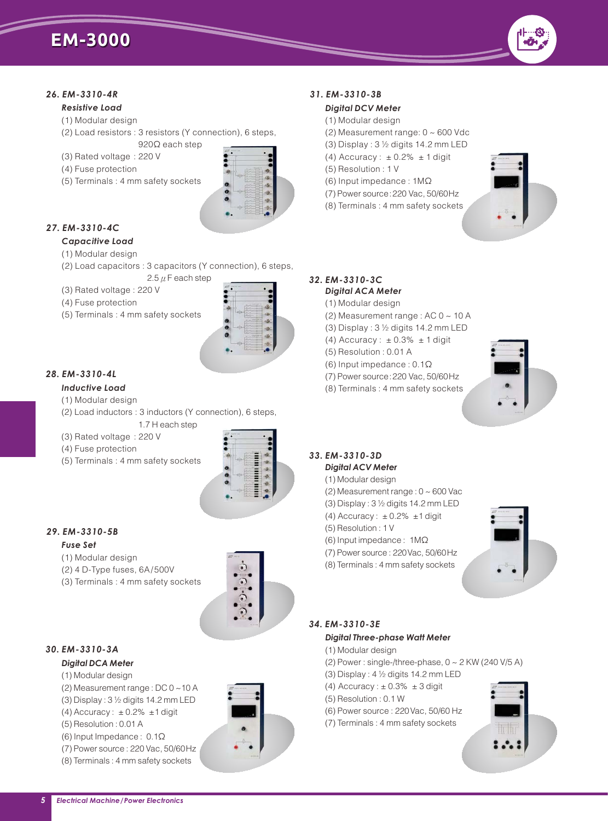

#### *26. EM-3310-4R*

#### *Resistive Load*

- (1) Modular design
- (2) Load resistors : 3 resistors (Y connection), 6 steps, 920 $\Omega$  each step
- (3) Rated voltage : 220 V
- (4) Fuse protection
- (5) Terminals : 4 mm safety sockets



### *27. EM-3310-4C*

#### *Capacitive Load*

#### (1) Modular design

- (2) Load capacitors : 3 capacitors (Y connection), 6 steps, 2.5  $\mu$  F each step
- (3) Rated voltage : 220 V
- (4) Fuse protection
- (5) Terminals : 4 mm safety sockets



# *28. EM-3310-4L*

#### *Inductive Load*

- (1) Modular design
- (2) Load inductors : 3 inductors (Y connection), 6 steps, 1.7 H each step
- (3) Rated voltage : 220 V
- (4) Fuse protection
- (5) Terminals : 4 mm safety sockets



# *29. EM-3310-5B*

#### *Fuse Set*

- (1) Modular design
- (2) 4 D-Type fuses, 6A/500V
- (3) Terminals : 4 mm safety sockets



# *30. EM-3310-3A*

# *Digital DCA Meter*

- (1) Modular design
- (2) Measurement range : DC 0 ~10 A (3) Display : 3 ½ digits 14.2 mm LED
- (4) Accuracy:  $\pm$  0.2%  $\pm$ 1 digit
- (5) Resolution : 0.01 A
- (6) Input Impedance : 0.1 Ω
- (7) Power source : 220 Vac, 50/60Hz
- (8) Terminals : 4 mm safety sockets

# *31. EM-3310-3B*

# *Digital DCV Meter*

- (1) Modular design
- (2) Measurement range: 0 ~ 600 Vdc
- (3) Display : 3 ½ digits 14.2 mm LED
- (4)  $\text{Accuracy : } \pm 0.2\% \pm 1 \text{ digit}$
- (5) Resolution : 1 V
- (6) Input impedance : 1MΩ
- (7) Power source:220 Vac, 50/60Hz
- (8) Terminals : 4 mm safety sockets



#### *32. EM-3310-3C Digital ACA Meter*

#### (1) Modular design

- (2) Measurement range : AC 0 ~ 10 A
- (3) Display : 3 ½ digits 14.2 mm LED
- (4) Accuracy :  $\pm$  0.3%  $\pm$  1 digit
- (5) Resolution : 0.01 A
- (6) Input impedance : 0.1Ω
- (7) Power source:220 Vac, 50/60Hz
- (8) Terminals : 4 mm safety sockets



# *33. EM-3310-3D*

- *Digital ACV Meter*
- (1) Modular design
- (2) Measurement range : 0 ~ 600 Vac
- (3) Display : 3 ½ digits 14.2 mm LED
- (4) Accuracy:  $\pm$  0.2%  $\pm$ 1 digit
- (5) Resolution : 1 V
- (6) Input impedance : 1MΩ
- (7) Power source : 220Vac, 50/60Hz
- (8) Terminals : 4 mm safety sockets



# *34. EM-3310-3E*

#### *Digital Three-phase Watt Meter*

- (1) Modular design
- (2) Power : single-/three-phase, 0 ~ 2 KW (240 V/5 A)
- 
- (3) Display : 4 ½ digits 14.2 mm LED
- $(4)$  Accuracy :  $\pm$  0.3%  $\pm$  3 digit (5) Resolution : 0.1 W
- (6) Power source : 220Vac, 50/60 Hz
- (7) Terminals : 4 mm safety sockets



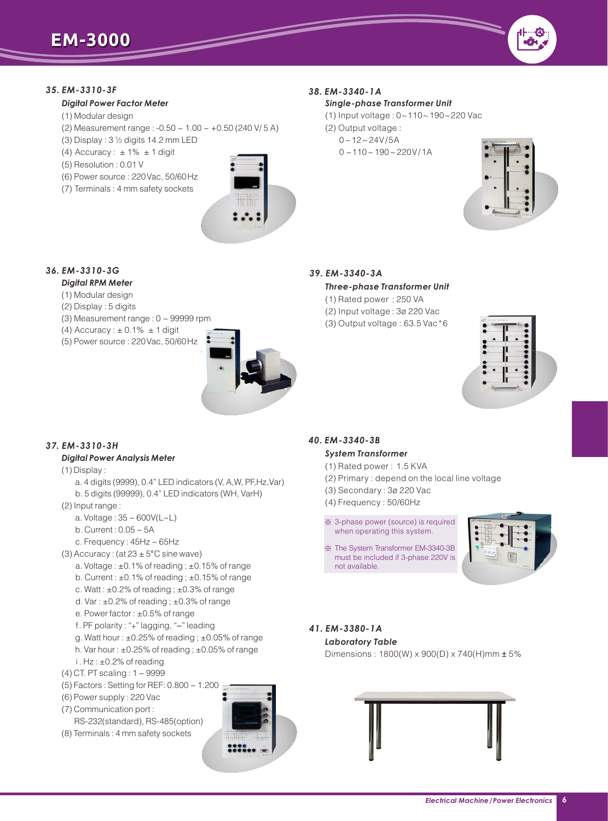

#### *35. EM-3310-3F*

#### *Digital Power Factor Meter*

- (1) Modular design
- (2) Measurement range : -0.50 ~ 1.00 ~ +0.50 (240 V/ 5 A)
- (3) Display : 3 ½ digits 14.2 mm LED
- (4) Accuracy :  $\pm$  1%  $\,\pm$  1 digit
- (5) Resolution : 0.01 V
- (6) Power source : 220Vac, 50/60Hz
- (7) Terminals : 4 mm safety sockets



 $\overline{\phantom{a}}$ 

## *38. EM-3340-1A*

#### *Single-phase Transformer Unit*

- (1) Input voltage : 0~110~190~220 Vac
- (2) Output voltage :
	- $0 12 24V/5A$ 
		- $0 \sim 110 \sim 190 \sim 220 V / 1A$



# *36. EM-3310-3G*

# *Digital RPM Meter*

- (1) Modular design
- (2) Display : 5 digits
- (3) Measurement range :  $0 \sim 99999$  rpm
- (4)  $\text{Accuracy}: \pm 0.1\% \pm 1 \text{ digit}$
- (5) Power source : 220Vac, 50/60Hz



# *39. EM-3340-3A*

- *Three-phase Transformer Unit*
- (1) Rated power : 250 VA
- (2) Input voltage : 3ø 220 Vac
- (3) Output voltage : 63.5 Vac\*6



#### *40. EM-3340-3B*

#### *System Transformer*

- (1) Rated power : 1.5 KVA
- (2) Primary : depend on the local line voltage
- (3) Secondary : 3ø 220 Vac
- (4) Frequency : 50/60Hz
- ※ 3-phase power (source) is required when operating this system.
- ※ The System Transformer EM-3340-3B must be included if 3-phase 220V is not available.



# *41. EM-3380-1A*

*Laboratory Table*

Dimensions : 1800(W) x 900(D) x 740(H)mm ± 5%



# *37. EM-3310-3H*

# *Digital Power Analysis Meter*

- (1) Display :
	- a. 4 digits (9999), 0.4" LED indicators (V, A,W, PF,Hz,Var)
- b. 5 digits (99999), 0.4" LED indicators (WH, VarH)
- (2) Input range :
	- a. Voltage :  $35 \sim 600V(L \sim L)$
	- b. Current : 0.05 ~ 5A
	- c. Frequency:  $45Hz \sim 65Hz$
- (3) Accuracy: (at  $23 \pm 5^{\circ}$ C sine wave)
	- a. Voltage : ±0.1% of reading ; ±0.15% of range
	- b. Current : ±0.1% of reading ; ±0.15% of range
	- c. Watt : ±0.2% of reading ; ±0.3% of range
	- d. Var :  $\pm 0.2\%$  of reading ;  $\pm 0.3\%$  of range
	- e. Power factor : ±0.5% of range
	- f. PF polarity : "+" lagging, "–" leading
	- g. Watt hour:  $\pm 0.25\%$  of reading;  $\pm 0.05\%$  of range
	- h. Var hour : ±0.25% of reading ; ±0.05% of range
- i . Hz : ±0.2% of reading
- (4) CT. PT scaling : 1 ~ 9999
- (5) Factors : Setting for REF: 0.800 ~ 1.200
- (6) Power supply : 220 Vac
- (7) Communication port :
- RS-232(standard), RS-485(option) (8) Terminals : 4 mm safety sockets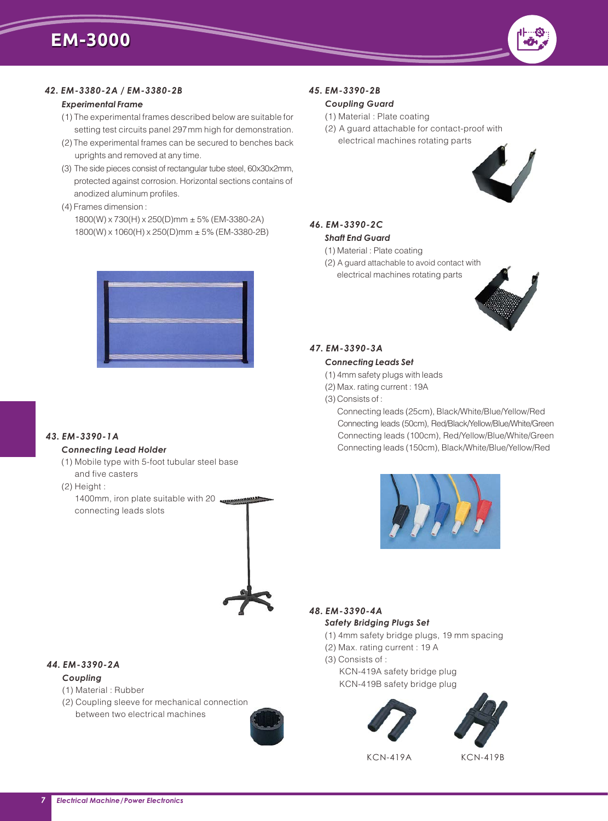#### *42. EM-3380-2A / EM-3380-2B*

#### *Experimental Frame*

- (1) The experimental frames described below are suitable for setting test circuits panel 297mm high for demonstration.
- (2) The experimental frames can be secured to benches back uprights and removed at any time.
- (3) The side pieces consist of rectangular tube steel, 60x30x2mm, protected against corrosion. Horizontal sections contains of anodized aluminum profiles.
- (4) Frames dimension :
- 1800(W) x 730(H) x 250(D)mm ± 5% (EM-3380-2A) 1800(W) x 1060(H) x 250(D)mm ± 5% (EM-3380-2B)



#### *43. EM-3390-1A*

#### *Connecting Lead Holder*

- (1) Mobile type with 5-foot tubular steel base and five casters
- (2) Height :

 1400mm, iron plate suitable with 20 0 connecting leads slots



#### *44. EM-3390-2A*

#### *Coupling*

- (1) Material : Rubber
- (2) Coupling sleeve for mechanical connection between two electrical machines



# *45. EM-3390-2B*

### *Coupling Guard*

- (1) Material : Plate coating
- (2) A guard attachable for contact-proof with electrical machines rotating parts



## *46. EM-3390-2C Shaft End Guard*

- (1) Material : Plate coating
- (2) A guard attachable to avoid contact with electrical machines rotating parts



#### *47. EM-3390-3A*

#### *Connecting Leads Set*

- (1) 4mm safety plugs with leads
- (2) Max. rating current : 19A
- (3) Consists of :

Connecting leads (25cm), Black/White/Blue/Yellow/Red Connecting leads (50cm), Red/Black/Yellow/Blue/White/Green Connecting leads (100cm), Red/Yellow/Blue/White/Green Connecting leads (150cm), Black/White/Blue/Yellow/Red



#### *48. EM-3390-4A Safety Bridging Plugs Set*

- (1) 4mm safety bridge plugs, 19 mm spacing
- (2) Max. rating current : 19 A
- (3) Consists of :

 KCN-419A safety bridge plug KCN-419B safety bridge plug





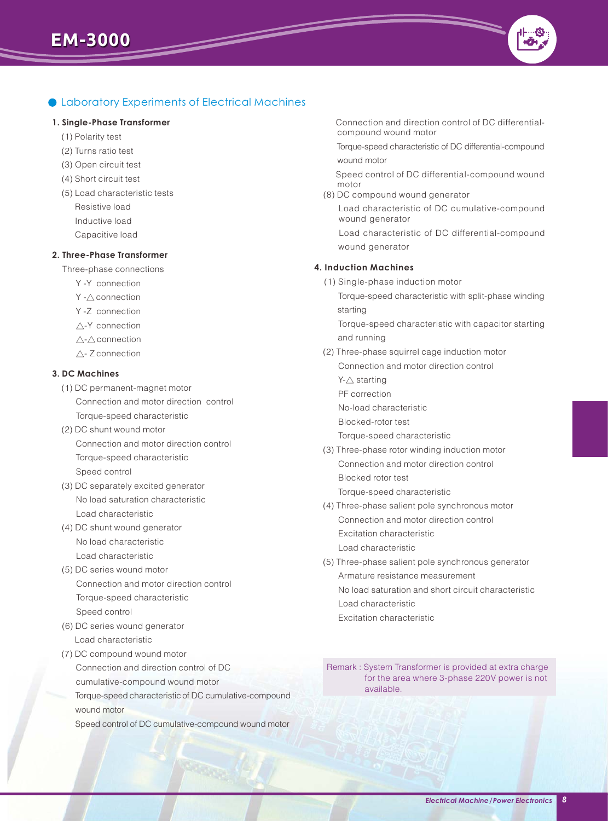# Laboratory Experiments of Electrical Machines

 $\overline{\phantom{a}}$ 

#### **1. Single-Phase Transformer**

- (1) Polarity test
- (2) Turns ratio test
- (3) Open circuit test
- (4) Short circuit test
- (5) Load characteristic tests Resistive load Inductive load Capacitive load

#### **2. Three-Phase Transformer**

Three-phase connections

- Y -Y connection
- Y -∆ connection
- Y -Z connection
- △-Y connection
- △-△connection
- △- Z connection

#### **3. DC Machines**

- (1) DC permanent-magnet motor Connection and motor direction control Torque-speed characteristic
- (2) DC shunt wound motor Connection and motor direction control Torque-speed characteristic Speed control
- (3) DC separately excited generator No load saturation characteristic Load characteristic
- (4) DC shunt wound generator No load characteristic Load characteristic
- (5) DC series wound motor Connection and motor direction control Torque-speed characteristic Speed control
- (6) DC series wound generator Load characteristic
- (7) DC compound wound motor Connection and direction control of DC cumulative-compound wound motor Torque-speed characteristic of DC cumulative-compound wound motor
	- Speed control of DC cumulative-compound wound motor

 Connection and direction control of DC differential compound wound motor

 Torque-speed characteristic of DC differential-compound wound motor

 Speed control of DC differential-compound wound motor

(8) DC compound wound generator

 Load characteristic of DC cumulative-compound wound generator

 Load characteristic of DC differential-compound wound generator

#### **4. Induction Machines**

(1) Single-phase induction motor

 Torque-speed characteristic with split-phase winding starting

 Torque-speed characteristic with capacitor starting and running

- (2) Three-phase squirrel cage induction motor Connection and motor direction control
	- Y-∧ starting
	- PF correction
	- No-load characteristic

Blocked-rotor test

Torque-speed characteristic

- (3) Three-phase rotor winding induction motor Connection and motor direction control Blocked rotor test Torque-speed characteristic
- (4) Three-phase salient pole synchronous motor Connection and motor direction control Excitation characteristic Load characteristic
- (5) Three-phase salient pole synchronous generator Armature resistance measurement No load saturation and short circuit characteristic Load characteristic Excitation characteristic

Remark : System Transformer is provided at extra charge for the area where 3-phase 220V power is not available.